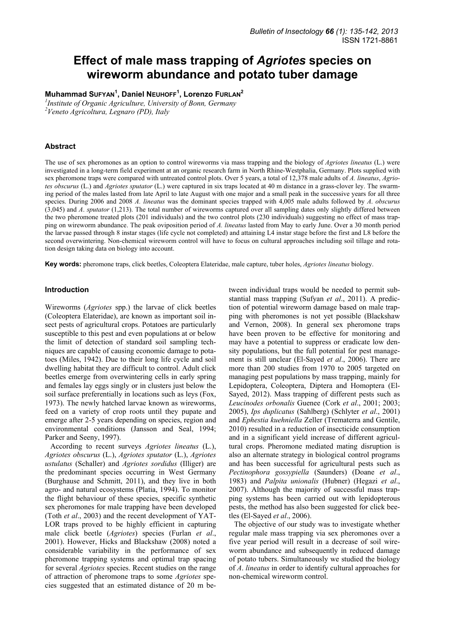# **Effect of male mass trapping of** *Agriotes* **species on wireworm abundance and potato tuber damage**

**Muhammad SUFYAN<sup>1</sup> , Daniel NEUHOFF<sup>1</sup> , Lorenzo FURLAN<sup>2</sup>**

*1 Institute of Organic Agriculture, University of Bonn, Germany 2 Veneto Agricoltura, Legnaro (PD), Italy* 

# **Abstract**

The use of sex pheromones as an option to control wireworms via mass trapping and the biology of *Agriotes lineatus* (L.) were investigated in a long-term field experiment at an organic research farm in North Rhine-Westphalia, Germany. Plots supplied with sex pheromone traps were compared with untreated control plots. Over 5 years, a total of 12,378 male adults of *A. lineatus*, *Agriotes obscurus* (L.) and *Agriotes sputator* (L.) were captured in six traps located at 40 m distance in a grass-clover ley. The swarming period of the males lasted from late April to late August with one major and a small peak in the successive years for all three species. During 2006 and 2008 *A. lineatus* was the dominant species trapped with 4,005 male adults followed by *A*. *obscurus* (3,045) and *A*. *sputator* (1,213). The total number of wireworms captured over all sampling dates only slightly differed between the two pheromone treated plots (201 individuals) and the two control plots (230 individuals) suggesting no effect of mass trapping on wireworm abundance. The peak oviposition period of *A. lineatus* lasted from May to early June. Over a 30 month period the larvae passed through 8 instar stages (life cycle not completed) and attaining L4 instar stage before the first and L8 before the second overwintering. Non-chemical wireworm control will have to focus on cultural approaches including soil tillage and rotation design taking data on biology into account.

**Key words:** pheromone traps, click beetles, Coleoptera Elateridae, male capture, tuber holes, *Agriotes lineatus* biology.

## **Introduction**

Wireworms (*Agriotes* spp.) the larvae of click beetles (Coleoptera Elateridae), are known as important soil insect pests of agricultural crops. Potatoes are particularly susceptible to this pest and even populations at or below the limit of detection of standard soil sampling techniques are capable of causing economic damage to potatoes (Miles, 1942). Due to their long life cycle and soil dwelling habitat they are difficult to control. Adult click beetles emerge from overwintering cells in early spring and females lay eggs singly or in clusters just below the soil surface preferentially in locations such as leys (Fox, 1973). The newly hatched larvae known as wireworms, feed on a variety of crop roots until they pupate and emerge after 2-5 years depending on species, region and environmental conditions (Jansson and Seal, 1994; Parker and Seeny, 1997).

According to recent surveys *Agriotes lineatus* (L.), *Agriotes obscurus* (L.), *Agriotes sputator* (L.), *Agriotes ustulatus* (Schaller) and *Agriotes sordidus* (Illiger) are the predominant species occurring in West Germany (Burghause and Schmitt, 2011), and they live in both agro- and natural ecosystems (Platia, 1994). To monitor the flight behaviour of these species, specific synthetic sex pheromones for male trapping have been developed (Toth *et al*., 2003) and the recent development of YAT-LOR traps proved to be highly efficient in capturing male click beetle (*Agriotes*) species (Furlan *et al*., 2001). However, Hicks and Blackshaw (2008) noted a considerable variability in the performance of sex pheromone trapping systems and optimal trap spacing for several *Agriotes* species. Recent studies on the range of attraction of pheromone traps to some *Agriotes* species suggested that an estimated distance of 20 m be-

tween individual traps would be needed to permit substantial mass trapping (Sufyan *et al*., 2011). A prediction of potential wireworm damage based on male trapping with pheromones is not yet possible (Blackshaw and Vernon, 2008). In general sex pheromone traps have been proven to be effective for monitoring and may have a potential to suppress or eradicate low density populations, but the full potential for pest management is still unclear (El-Sayed *et al*., 2006). There are more than 200 studies from 1970 to 2005 targeted on managing pest populations by mass trapping, mainly for Lepidoptera, Coleoptera, Diptera and Homoptera (El-Sayed, 2012). Mass trapping of different pests such as *Leucinodes orbonalis* Guenee (Cork *et al*., 2001; 2003; 2005), *Ips duplicatus* (Sahlberg) (Schlyter *et al*., 2001) and *Ephestia kuehniella* Zeller (Trematerra and Gentile, 2010) resulted in a reduction of insecticide consumption and in a significant yield increase of different agricultural crops. Pheromone mediated mating disruption is also an alternate strategy in biological control programs and has been successful for agricultural pests such as *Pectinophora gossypiella* (Saunders) (Doane *et al*., 1983) and *Palpita unionalis* (Hubner) (Hegazi *et al*., 2007). Although the majority of successful mass trapping systems has been carried out with lepidopterous pests, the method has also been suggested for click beetles (El-Sayed *et al*., 2006).

The objective of our study was to investigate whether regular male mass trapping via sex pheromones over a five year period will result in a decrease of soil wireworm abundance and subsequently in reduced damage of potato tubers. Simultaneously we studied the biology of *A*. *lineatus* in order to identify cultural approaches for non-chemical wireworm control.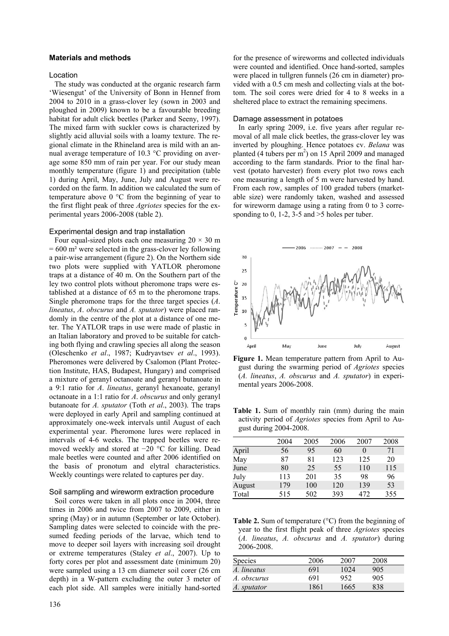# **Materials and methods**

#### Location

The study was conducted at the organic research farm 'Wiesengut' of the University of Bonn in Hennef from 2004 to 2010 in a grass-clover ley (sown in 2003 and ploughed in 2009) known to be a favourable breeding habitat for adult click beetles (Parker and Seeny, 1997). The mixed farm with suckler cows is characterized by slightly acid alluvial soils with a loamy texture. The regional climate in the Rhineland area is mild with an annual average temperature of 10.3 °C providing on average some 850 mm of rain per year. For our study mean monthly temperature (figure 1) and precipitation (table 1) during April, May, June, July and August were recorded on the farm. In addition we calculated the sum of temperature above 0 °C from the beginning of year to the first flight peak of three *Agriotes* species for the experimental years 2006-2008 (table 2).

# Experimental design and trap installation

Four equal-sized plots each one measuring  $20 \times 30$  m  $= 600$  m<sup>2</sup> were selected in the grass-clover ley following a pair-wise arrangement (figure 2). On the Northern side two plots were supplied with YATLOR pheromone traps at a distance of 40 m. On the Southern part of the ley two control plots without pheromone traps were established at a distance of 65 m to the pheromone traps. Single pheromone traps for the three target species (*A*. *lineatus*, *A*. *obscurus* and *A. sputator*) were placed randomly in the centre of the plot at a distance of one meter. The YATLOR traps in use were made of plastic in an Italian laboratory and proved to be suitable for catching both flying and crawling species all along the season (Oleschenko *et al*., 1987; Kudryavtsev *et al*., 1993). Pheromones were delivered by Csalomon (Plant Protection Institute, HAS, Budapest, Hungary) and comprised a mixture of geranyl octanoate and geranyl butanoate in a 9:1 ratio for *A*. *lineatus*, geranyl hexanoate, geranyl octanoate in a 1:1 ratio for *A*. *obscurus* and only geranyl butanoate for *A. sputator* (Toth *et al*., 2003). The traps were deployed in early April and sampling continued at approximately one-week intervals until August of each experimental year. Pheromone lures were replaced in intervals of 4-6 weeks. The trapped beetles were removed weekly and stored at −20 °C for killing. Dead male beetles were counted and after 2006 identified on the basis of pronotum and elytral characteristics. Weekly countings were related to captures per day.

# Soil sampling and wireworm extraction procedure

Soil cores were taken in all plots once in 2004, three times in 2006 and twice from 2007 to 2009, either in spring (May) or in autumn (September or late October). Sampling dates were selected to coincide with the presumed feeding periods of the larvae, which tend to move to deeper soil layers with increasing soil drought or extreme temperatures (Staley *et al*., 2007). Up to forty cores per plot and assessment date (minimum 20) were sampled using a 13 cm diameter soil corer (26 cm depth) in a W-pattern excluding the outer 3 meter of each plot side. All samples were initially hand-sorted for the presence of wireworms and collected individuals were counted and identified. Once hand-sorted, samples were placed in tullgren funnels (26 cm in diameter) provided with a 0.5 cm mesh and collecting vials at the bottom. The soil cores were dried for 4 to 8 weeks in a sheltered place to extract the remaining specimens.

#### Damage assessment in potatoes

In early spring 2009, i.e. five years after regular removal of all male click beetles, the grass-clover ley was inverted by ploughing. Hence potatoes cv. *Belana* was planted (4 tubers per  $m<sup>2</sup>$ ) on 15 April 2009 and managed according to the farm standards. Prior to the final harvest (potato harvester) from every plot two rows each one measuring a length of 5 m were harvested by hand. From each row, samples of 100 graded tubers (marketable size) were randomly taken, washed and assessed for wireworm damage using a rating from 0 to 3 corresponding to 0, 1-2, 3-5 and  $>5$  holes per tuber.



**Figure 1.** Mean temperature pattern from April to August during the swarming period of *Agriotes* species (*A. lineatus*, *A. obscurus* and *A. sputator*) in experimental years 2006-2008.

Table 1. Sum of monthly rain (mm) during the main activity period of *Agriotes* species from April to August during 2004-2008.

|        | 2004 | 2005 | 2006 | 2007 | 2008 |
|--------|------|------|------|------|------|
| April  | 56   | 95   | 60   | 0    | 71   |
| May    | 87   | 81   | 123  | 125  | 20   |
| June   | 80   | 25   | 55   | 110  | 115  |
| July   | 113  | 201  | 35   | 98   | 96   |
| August | 179  | 100  | 120  | 139  | 53   |
| Total  | 515  | 502  | 393  | 472  | 355  |
|        |      |      |      |      |      |

Table 2. Sum of temperature (°C) from the beginning of year to the first flight peak of three *Agriotes* species (*A. lineatus*, *A. obscurus* and *A. sputator*) during 2006-2008.

| <b>Species</b> | 2006 | 2007 | 2008 |
|----------------|------|------|------|
| A. lineatus    | 691  | 1024 | 905  |
| A. obscurus    | 691  | 952  | 905  |
| A. sputator    | 1861 | 1665 | 838  |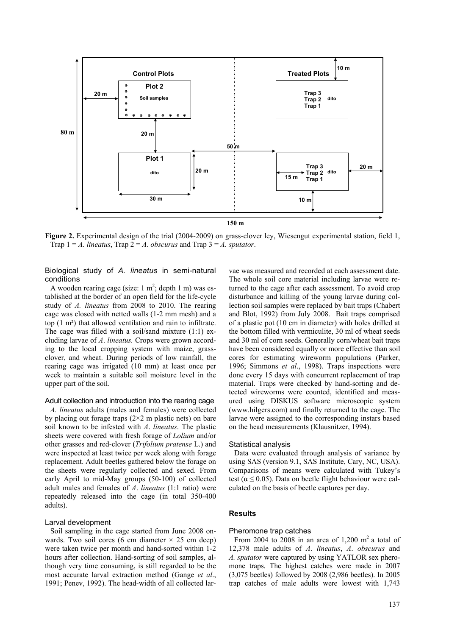

**Figure 2.** Experimental design of the trial (2004-2009) on grass-clover ley, Wiesengut experimental station, field 1, Trap  $1 = A$ . *lineatus*, Trap  $2 = A$ . *obscurus* and Trap  $3 = A$ . *sputator*.

# Biological study of *A. lineatus* in semi-natural conditions

A wooden rearing cage (size:  $1 \text{ m}^2$ ; depth  $1 \text{ m}$ ) was established at the border of an open field for the life-cycle study of *A. lineatus* from 2008 to 2010. The rearing cage was closed with netted walls (1-2 mm mesh) and a top (1 m²) that allowed ventilation and rain to infiltrate. The cage was filled with a soil/sand mixture (1:1) excluding larvae of *A*. *lineatus.* Crops were grown according to the local cropping system with maize, grassclover, and wheat. During periods of low rainfall, the rearing cage was irrigated (10 mm) at least once per week to maintain a suitable soil moisture level in the upper part of the soil.

# Adult collection and introduction into the rearing cage

*A. lineatus* adults (males and females) were collected by placing out forage traps  $(2\times 2 \text{ m} \text{ plastic nets})$  on bare soil known to be infested with *A*. *lineatus*. The plastic sheets were covered with fresh forage of *Lolium* and/or other grasses and red-clover (*Trifolium pratense* L.) and were inspected at least twice per week along with forage replacement. Adult beetles gathered below the forage on the sheets were regularly collected and sexed. From early April to mid-May groups (50-100) of collected adult males and females of *A*. *lineatus* (1:1 ratio) were repeatedly released into the cage (in total 350-400 adults).

#### Larval development

Soil sampling in the cage started from June 2008 onwards. Two soil cores (6 cm diameter  $\times$  25 cm deep) were taken twice per month and hand-sorted within 1-2 hours after collection. Hand-sorting of soil samples, although very time consuming, is still regarded to be the most accurate larval extraction method (Gange *et al*., 1991; Penev, 1992). The head-width of all collected lar-

vae was measured and recorded at each assessment date. The whole soil core material including larvae were returned to the cage after each assessment. To avoid crop disturbance and killing of the young larvae during collection soil samples were replaced by bait traps (Chabert and Blot, 1992) from July 2008. Bait traps comprised of a plastic pot (10 cm in diameter) with holes drilled at the bottom filled with vermiculite, 30 ml of wheat seeds and 30 ml of corn seeds. Generally corn/wheat bait traps have been considered equally or more effective than soil cores for estimating wireworm populations (Parker, 1996; Simmons *et al*., 1998). Traps inspections were done every 15 days with concurrent replacement of trap material. Traps were checked by hand-sorting and detected wireworms were counted, identified and measured using DISKUS software microscopic system (www.hilgers.com) and finally returned to the cage. The larvae were assigned to the corresponding instars based on the head measurements (Klausnitzer, 1994).

#### Statistical analysis

Data were evaluated through analysis of variance by using SAS (version 9.1, SAS Institute, Cary, NC, USA). Comparisons of means were calculated with Tukey's test ( $\alpha \le 0.05$ ). Data on beetle flight behaviour were calculated on the basis of beetle captures per day.

## **Results**

#### Pheromone trap catches

From 2004 to 2008 in an area of  $1,200 \text{ m}^2$  a total of 12,378 male adults of *A*. *lineatus*, *A*. *obscurus* and *A. sputator* were captured by using YATLOR sex pheromone traps. The highest catches were made in 2007 (3,075 beetles) followed by 2008 (2,986 beetles). In 2005 trap catches of male adults were lowest with 1,743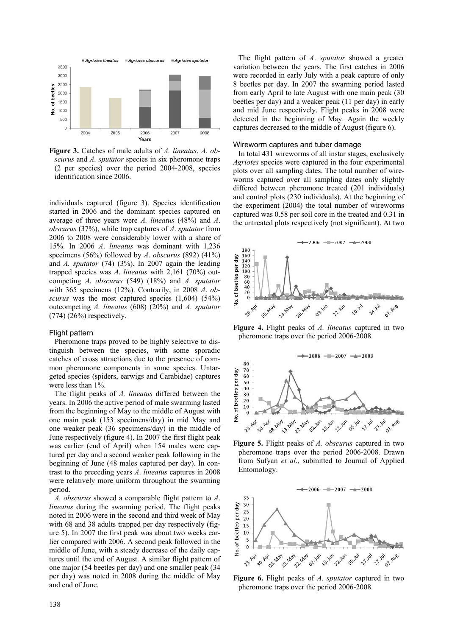

**Figure 3.** Catches of male adults of *A. lineatus*, *A. obscurus* and *A. sputator* species in six pheromone traps (2 per species) over the period 2004-2008, species identification since 2006.

individuals captured (figure 3). Species identification started in 2006 and the dominant species captured on average of three years were *A. lineatus* (48%) and *A*. *obscurus* (37%), while trap captures of *A*. *sputator* from 2006 to 2008 were considerably lower with a share of 15%. In 2006 *A*. *lineatus* was dominant with 1,236 specimens (56%) followed by *A*. *obscurus* (892) (41%) and *A. sputator* (74) (3%). In 2007 again the leading trapped species was *A*. *lineatus* with 2,161 (70%) outcompeting *A*. *obscurus* (549) (18%) and *A. sputator* with 365 specimens (12%). Contrarily, in 2008 *A*. *obscurus* was the most captured species (1,604) (54%) outcompeting *A. lineatus* (608) (20%) and *A. sputator*  $(774)$   $(26%)$  respectively.

## Flight pattern

Pheromone traps proved to be highly selective to distinguish between the species, with some sporadic catches of cross attractions due to the presence of common pheromone components in some species. Untargeted species (spiders, earwigs and Carabidae) captures were less than 1%.

The flight peaks of *A. lineatus* differed between the years. In 2006 the active period of male swarming lasted from the beginning of May to the middle of August with one main peak (153 specimens/day) in mid May and one weaker peak (36 specimens/day) in the middle of June respectively (figure 4). In 2007 the first flight peak was earlier (end of April) when 154 males were captured per day and a second weaker peak following in the beginning of June (48 males captured per day). In contrast to the preceding years *A*. *lineatus* captures in 2008 were relatively more uniform throughout the swarming period.

*A. obscurus* showed a comparable flight pattern to *A*. *lineatus* during the swarming period. The flight peaks noted in 2006 were in the second and third week of May with 68 and 38 adults trapped per day respectively (figure 5). In 2007 the first peak was about two weeks earlier compared with 2006. A second peak followed in the middle of June, with a steady decrease of the daily captures until the end of August. A similar flight pattern of one major (54 beetles per day) and one smaller peak (34 per day) was noted in 2008 during the middle of May and end of June.

The flight pattern of *A*. *sputator* showed a greater variation between the years. The first catches in 2006 were recorded in early July with a peak capture of only 8 beetles per day. In 2007 the swarming period lasted from early April to late August with one main peak (30 beetles per day) and a weaker peak (11 per day) in early and mid June respectively. Flight peaks in 2008 were detected in the beginning of May. Again the weekly captures decreased to the middle of August (figure 6).

#### Wireworm captures and tuber damage

In total 431 wireworms of all instar stages, exclusively *Agriotes* species were captured in the four experimental plots over all sampling dates. The total number of wireworms captured over all sampling dates only slightly differed between pheromone treated (201 individuals) and control plots (230 individuals). At the beginning of the experiment (2004) the total number of wireworms captured was 0.58 per soil core in the treated and 0.31 in the untreated plots respectively (not significant). At two



**Figure 4.** Flight peaks of *A. lineatus* captured in two pheromone traps over the period 2006-2008.



**Figure 5.** Flight peaks of *A. obscurus* captured in two pheromone traps over the period 2006-2008. Drawn from Sufyan *et al*., submitted to Journal of Applied Entomology.



**Figure 6.** Flight peaks of *A. sputator* captured in two pheromone traps over the period 2006-2008.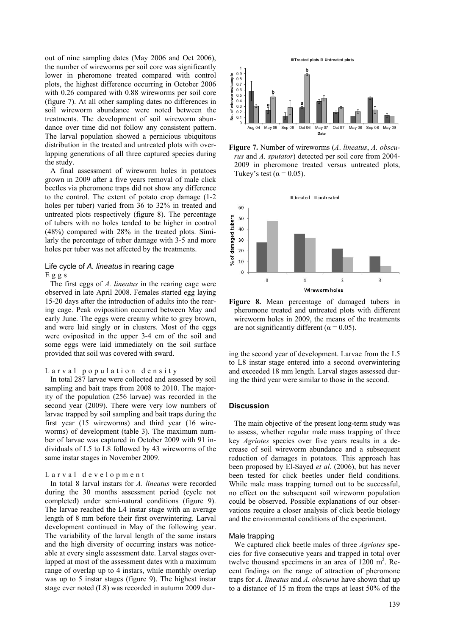out of nine sampling dates (May 2006 and Oct 2006), the number of wireworms per soil core was significantly lower in pheromone treated compared with control plots, the highest difference occurring in October 2006 with 0.26 compared with 0.88 wireworms per soil core (figure 7). At all other sampling dates no differences in soil wireworm abundance were noted between the treatments. The development of soil wireworm abundance over time did not follow any consistent pattern. The larval population showed a pernicious ubiquitous distribution in the treated and untreated plots with overlapping generations of all three captured species during the study.

A final assessment of wireworm holes in potatoes grown in 2009 after a five years removal of male click beetles via pheromone traps did not show any difference to the control. The extent of potato crop damage (1-2 holes per tuber) varied from 36 to 32% in treated and untreated plots respectively (figure 8). The percentage of tubers with no holes tended to be higher in control (48%) compared with 28% in the treated plots. Similarly the percentage of tuber damage with 3-5 and more holes per tuber was not affected by the treatments.

## Life cycle of *A. lineatus* in rearing cage Eggs

The first eggs of *A. lineatus* in the rearing cage were observed in late April 2008. Females started egg laying 15-20 days after the introduction of adults into the rearing cage. Peak oviposition occurred between May and early June. The eggs were creamy white to grey brown, and were laid singly or in clusters. Most of the eggs were oviposited in the upper 3-4 cm of the soil and some eggs were laid immediately on the soil surface provided that soil was covered with sward.

## Larval population density

In total 287 larvae were collected and assessed by soil sampling and bait traps from 2008 to 2010. The majority of the population (256 larvae) was recorded in the second year (2009). There were very low numbers of larvae trapped by soil sampling and bait traps during the first year (15 wireworms) and third year (16 wireworms) of development (table 3). The maximum number of larvae was captured in October 2009 with 91 individuals of L5 to L8 followed by 43 wireworms of the same instar stages in November 2009.

#### Larval development

In total 8 larval instars for *A. lineatus* were recorded during the 30 months assessment period (cycle not completed) under semi-natural conditions (figure 9). The larvae reached the L4 instar stage with an average length of 8 mm before their first overwintering. Larval development continued in May of the following year. The variability of the larval length of the same instars and the high diversity of occurring instars was noticeable at every single assessment date. Larval stages overlapped at most of the assessment dates with a maximum range of overlap up to 4 instars, while monthly overlap was up to 5 instar stages (figure 9). The highest instar stage ever noted (L8) was recorded in autumn 2009 dur-



**Figure 7.** Number of wireworms (*A*. *lineatus*, *A. obscurus* and *A. sputator*) detected per soil core from 2004- 2009 in pheromone treated versus untreated plots, Tukey's test ( $\alpha$  = 0.05).



**Figure 8.** Mean percentage of damaged tubers in pheromone treated and untreated plots with different wireworm holes in 2009, the means of the treatments are not significantly different ( $\alpha$  = 0.05).

ing the second year of development. Larvae from the L5 to L8 instar stage entered into a second overwintering and exceeded 18 mm length. Larval stages assessed during the third year were similar to those in the second.

#### **Discussion**

The main objective of the present long-term study was to assess, whether regular male mass trapping of three key *Agriotes* species over five years results in a decrease of soil wireworm abundance and a subsequent reduction of damages in potatoes. This approach has been proposed by El-Sayed *et al*. (2006), but has never been tested for click beetles under field conditions. While male mass trapping turned out to be successful, no effect on the subsequent soil wireworm population could be observed. Possible explanations of our observations require a closer analysis of click beetle biology and the environmental conditions of the experiment.

#### Male trapping

We captured click beetle males of three *Agriotes* species for five consecutive years and trapped in total over twelve thousand specimens in an area of  $1200 \text{ m}^2$ . Recent findings on the range of attraction of pheromone traps for *A. lineatus* and *A. obscurus* have shown that up to a distance of 15 m from the traps at least 50% of the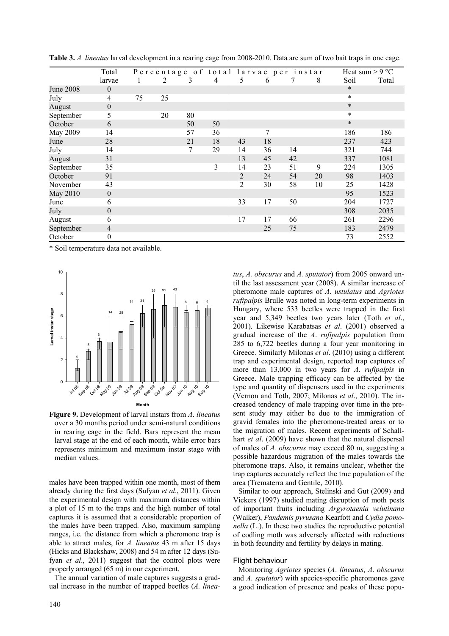|                  | Total            |    |    |    |    | Percentage of total larvae per instar |    |    |    | Heat sum $> 9 °C$ |       |
|------------------|------------------|----|----|----|----|---------------------------------------|----|----|----|-------------------|-------|
|                  | larvae           |    | 2  | 3  | 4  | 5                                     | 6  |    | 8  | Soil              | Total |
| <b>June 2008</b> | $\boldsymbol{0}$ |    |    |    |    |                                       |    |    |    | $\ast$            |       |
| July             | $\overline{4}$   | 75 | 25 |    |    |                                       |    |    |    | $\star$           |       |
| August           | $\boldsymbol{0}$ |    |    |    |    |                                       |    |    |    | $\ast$            |       |
| September        | 5                |    | 20 | 80 |    |                                       |    |    |    | $\ast$            |       |
| October          | 6                |    |    | 50 | 50 |                                       |    |    |    | $\ast$            |       |
| May 2009         | 14               |    |    | 57 | 36 |                                       | 7  |    |    | 186               | 186   |
| June             | 28               |    |    | 21 | 18 | 43                                    | 18 |    |    | 237               | 423   |
| July             | 14               |    |    | 7  | 29 | 14                                    | 36 | 14 |    | 321               | 744   |
| August           | 31               |    |    |    |    | 13                                    | 45 | 42 |    | 337               | 1081  |
| September        | 35               |    |    |    | 3  | 14                                    | 23 | 51 | 9  | 224               | 1305  |
| October          | 91               |    |    |    |    | $\overline{2}$                        | 24 | 54 | 20 | 98                | 1403  |
| November         | 43               |    |    |    |    | 2                                     | 30 | 58 | 10 | 25                | 1428  |
| May 2010         | $\boldsymbol{0}$ |    |    |    |    |                                       |    |    |    | 95                | 1523  |
| June             | 6                |    |    |    |    | 33                                    | 17 | 50 |    | 204               | 1727  |
| July             | $\boldsymbol{0}$ |    |    |    |    |                                       |    |    |    | 308               | 2035  |
| August           | 6                |    |    |    |    | 17                                    | 17 | 66 |    | 261               | 2296  |
| September        | 4                |    |    |    |    |                                       | 25 | 75 |    | 183               | 2479  |
| October          | $\boldsymbol{0}$ |    |    |    |    |                                       |    |    |    | 73                | 2552  |

**Table 3.** *A. lineatus* larval development in a rearing cage from 2008-2010. Data are sum of two bait traps in one cage.

\* Soil temperature data not available.



**Figure 9.** Development of larval instars from *A*. *lineatus* over a 30 months period under semi-natural conditions in rearing cage in the field. Bars represent the mean larval stage at the end of each month, while error bars represents minimum and maximum instar stage with median values.

males have been trapped within one month, most of them already during the first days (Sufyan *et al*., 2011). Given the experimental design with maximum distances within a plot of 15 m to the traps and the high number of total captures it is assumed that a considerable proportion of the males have been trapped. Also, maximum sampling ranges, i.e. the distance from which a pheromone trap is able to attract males, for *A. lineatus* 43 m after 15 days (Hicks and Blackshaw, 2008) and 54 m after 12 days (Sufyan *et al*., 2011) suggest that the control plots were properly arranged (65 m) in our experiment.

The annual variation of male captures suggests a gradual increase in the number of trapped beetles (*A. linea-* til the last assessment year (2008). A similar increase of pheromone male captures of *A*. *ustulatus* and *Agriotes rufipalpis* Brulle was noted in long-term experiments in Hungary, where 533 beetles were trapped in the first year and 5,349 beetles two years later (Toth *et al*., 2001). Likewise Karabatsas *et al*. (2001) observed a gradual increase of the *A*. *rufipalpis* population from 285 to 6,722 beetles during a four year monitoring in Greece. Similarly Milonas *et al*. (2010) using a different trap and experimental design, reported trap captures of more than 13,000 in two years for *A*. *rufipalpis* in Greece. Male trapping efficacy can be affected by the type and quantity of dispensers used in the experiments (Vernon and Toth, 2007; Milonas *et al*., 2010). The increased tendency of male trapping over time in the present study may either be due to the immigration of gravid females into the pheromone-treated areas or to the migration of males. Recent experiments of Schallhart *et al*. (2009) have shown that the natural dispersal of males of *A. obscurus* may exceed 80 m, suggesting a possible hazardous migration of the males towards the pheromone traps. Also, it remains unclear, whether the trap captures accurately reflect the true population of the area (Trematerra and Gentile, 2010). Similar to our approach, Stelinski and Gut (2009) and

*tus*, *A. obscurus* and *A. sputator*) from 2005 onward un-

Vickers (1997) studied mating disruption of moth pests of important fruits including *Argyrotaenia velutinana* (Walker), *Pandemis pyrusana* Kearfott and *Cydia pomonella* (L.). In these two studies the reproductive potential of codling moth was adversely affected with reductions in both fecundity and fertility by delays in mating.

## Flight behaviour

Monitoring *Agriotes* species (*A*. *lineatus*, *A*. *obscurus* and *A*. *sputator*) with species-specific pheromones gave a good indication of presence and peaks of these popu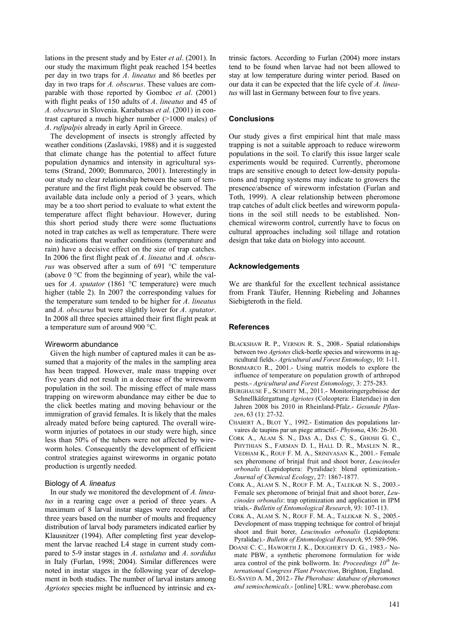lations in the present study and by Ester *et al*. (2001). In our study the maximum flight peak reached 154 beetles per day in two traps for *A*. *lineatus* and 86 beetles per day in two traps for *A. obscurus*. These values are comparable with those reported by Gomboc *et al*. (2001) with flight peaks of 150 adults of *A*. *lineatus* and 45 of *A. obscurus* in Slovenia. Karabatsas *et al*. (2001) in contrast captured a much higher number (>1000 males) of *A*. *rufipalpis* already in early April in Greece.

The development of insects is strongly affected by weather conditions (Zaslavski, 1988) and it is suggested that climate change has the potential to affect future population dynamics and intensity in agricultural systems (Strand, 2000; Bommarco, 2001). Interestingly in our study no clear relationship between the sum of temperature and the first flight peak could be observed. The available data include only a period of 3 years, which may be a too short period to evaluate to what extent the temperature affect flight behaviour. However, during this short period study there were some fluctuations noted in trap catches as well as temperature. There were no indications that weather conditions (temperature and rain) have a decisive effect on the size of trap catches. In 2006 the first flight peak of *A*. *lineatus* and *A. obscurus* was observed after a sum of 691 °C temperature (above  $0^{\circ}$ C from the beginning of year), while the values for *A*. *sputator* (1861 °C temperature) were much higher (table 2). In 2007 the corresponding values for the temperature sum tended to be higher for *A*. *lineatus* and *A. obscurus* but were slightly lower for *A*. *sputator*. In 2008 all three species attained their first flight peak at a temperature sum of around 900 °C.

#### Wireworm abundance

Given the high number of captured males it can be assumed that a majority of the males in the sampling area has been trapped. However, male mass trapping over five years did not result in a decrease of the wireworm population in the soil. The missing effect of male mass trapping on wireworm abundance may either be due to the click beetles mating and moving behaviour or the immigration of gravid females. It is likely that the males already mated before being captured. The overall wireworm injuries of potatoes in our study were high, since less than 50% of the tubers were not affected by wireworm holes. Consequently the development of efficient control strategies against wireworms in organic potato production is urgently needed.

#### Biology of *A. lineatus*

In our study we monitored the development of *A. lineatus* in a rearing cage over a period of three years. A maximum of 8 larval instar stages were recorded after three years based on the number of moults and frequency distribution of larval body parameters indicated earlier by Klausnitzer (1994). After completing first year development the larvae reached L4 stage in current study compared to 5-9 instar stages in *A*. *ustulatus* and *A*. *sordidus* in Italy (Furlan, 1998; 2004). Similar differences were noted in instar stages in the following year of development in both studies. The number of larval instars among *Agriotes* species might be influenced by intrinsic and ex-

trinsic factors. According to Furlan (2004) more instars tend to be found when larvae had not been allowed to stay at low temperature during winter period. Based on our data it can be expected that the life cycle of *A. lineatus* will last in Germany between four to five years.

#### **Conclusions**

Our study gives a first empirical hint that male mass trapping is not a suitable approach to reduce wireworm populations in the soil. To clarify this issue larger scale experiments would be required. Currently, pheromone traps are sensitive enough to detect low-density populations and trapping systems may indicate to growers the presence/absence of wireworm infestation (Furlan and Toth, 1999). A clear relationship between pheromone trap catches of adult click beetles and wireworm populations in the soil still needs to be established. Nonchemical wireworm control, currently have to focus on cultural approaches including soil tillage and rotation design that take data on biology into account.

#### **Acknowledgements**

We are thankful for the excellent technical assistance from Frank Täufer, Henning Riebeling and Johannes Siebigteroth in the field.

#### **References**

- BLACKSHAW R. P., VERNON R. S., 2008.- Spatial relationships between two *Agriotes* click-beetle species and wireworms in agricultural fields.- *Agricultural and Forest Entomology*, 10: 1-11.
- BOMMARCO R., 2001.- Using matrix models to explore the influence of temperature on population growth of arthropod pests.- *Agricultural and Forest Entomology*, 3: 275-283.
- BURGHAUSE F., SCHMITT M., 2011.- Monitoringergebnisse der Schnellkäfergattung *Agriotes* (Coleoptera: Elateridae) in den Jahren 2008 bis 2010 in Rheinland-Pfalz.- *Gesunde Pflanzen*, 63 (1): 27-32.
- CHABERT A., BLOT Y., 1992.- Estimation des populations larvaires de taupins par un piege attractif.- *Phytoma*, 436: 26-30.
- CORK A., ALAM S. N., DAS A., DAS C. S., GHOSH G. C., PHYTHIAN S., FARMAN D. I., HALL D. R., MASLEN N. R., VEDHAM K., ROUF F. M. A., SRINIVASAN K., 2001.- Female sex pheromone of brinjal fruit and shoot borer, *Leucinodes orbonalis* (Lepidoptera: Pyralidae): blend optimization.- *Journal of Chemical Ecology*, 27: 1867-1877.
- CORK A., ALAM S. N., ROUF F. M. A., TALEKAR N. S., 2003.- Female sex pheromone of brinjal fruit and shoot borer, *Leucinodes orbonalis*: trap optimization and application in IPM trials.- *Bulletin of Entomological Research*, 93: 107-113.
- CORK A., ALAM S. N., ROUF F. M. A., TALEKAR N. S., 2005.- Development of mass trapping technique for control of brinjal shoot and fruit borer, *Leucinodes orbonalis* (Lepidoptera: Pyralidae).- *Bulletin of Entomological Research*, 95: 589-596.
- DOANE C. C., HAWORTH J. K., DOUGHERTY D. G., 1983.- Nomate PBW, a synthetic pheromone formulation for wide area control of the pink bollworm. In: *Proceedings 10th International Congress Plant Protection*, Brighton, England.
- EL-SAYED A. M., 2012.- *The Pherobase: database of pheromones and semiochemicals*.- [online] URL: www.pherobase.com